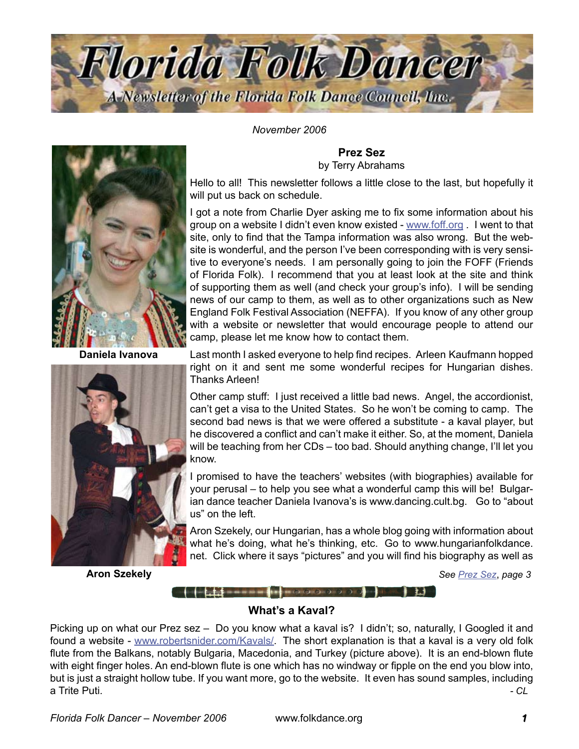

*November 2006*



**Daniela Ivanova**



**Aron Szekely**

**Prez Sez** by Terry Abrahams

Hello to all! This newsletter follows a little close to the last, but hopefully it will put us back on schedule.

I got a note from Charlie Dyer asking me to fix some information about his group on a website I didn't even know existed - [www.foff.org](http://www.foff.org) . I went to that site, only to find that the Tampa information was also wrong. But the website is wonderful, and the person I've been corresponding with is very sensitive to everyone's needs. I am personally going to join the FOFF (Friends of Florida Folk). I recommend that you at least look at the site and think of supporting them as well (and check your group's info). I will be sending news of our camp to them, as well as to other organizations such as New England Folk Festival Association (NEFFA). If you know of any other group with a website or newsletter that would encourage people to attend our camp, please let me know how to contact them.

Last month I asked everyone to help find recipes. Arleen Kaufmann hopped right on it and sent me some wonderful recipes for Hungarian dishes. Thanks Arleen!

Other camp stuff: I just received a little bad news. Angel, the accordionist, can't get a visa to the United States. So he won't be coming to camp. The second bad news is that we were offered a substitute - a kaval player, but he discovered a conflict and can't make it either. So, at the moment, Daniela will be teaching from her CDs – too bad. Should anything change, I'll let you know.

I promised to have the teachers' websites (with biographies) available for your perusal – to help you see what a wonderful camp this will be! Bulgarian dance teacher Daniela Ivanova's is www.dancing.cult.bg. Go to "about us" on the left.

Aron Szekely, our Hungarian, has a whole blog going with information about what he's doing, what he's thinking, etc. Go to www.hungarianfolkdance. net. Click where it says "pictures" and you will find his biography as well as

*See [Prez Sez](#page-2-0)*, *page* 

# **What's a Kaval?**

 $\begin{picture}(180,10) \put(0,0){\line(1,0){10}} \put(10,0){\line(1,0){10}} \put(10,0){\line(1,0){10}} \put(10,0){\line(1,0){10}} \put(10,0){\line(1,0){10}} \put(10,0){\line(1,0){10}} \put(10,0){\line(1,0){10}} \put(10,0){\line(1,0){10}} \put(10,0){\line(1,0){10}} \put(10,0){\line(1,0){10}} \put(10,0){\line(1,0){10}} \put(10,0){\line($ 

Picking up on what our Prez sez – Do you know what a kaval is? I didn't; so, naturally, I Googled it and found a website - [www.robertsnider.com/Kavals](http://www.robertsnider.com/Kavals/)/. The short explanation is that a kaval is a very old folk flute from the Balkans, notably Bulgaria, Macedonia, and Turkey (picture above). It is an end-blown flute with eight finger holes. An end-blown flute is one which has no windway or fipple on the end you blow into, but is just a straight hollow tube. If you want more, go to the website. It even has sound samples, including a Trite Puti. *- CL*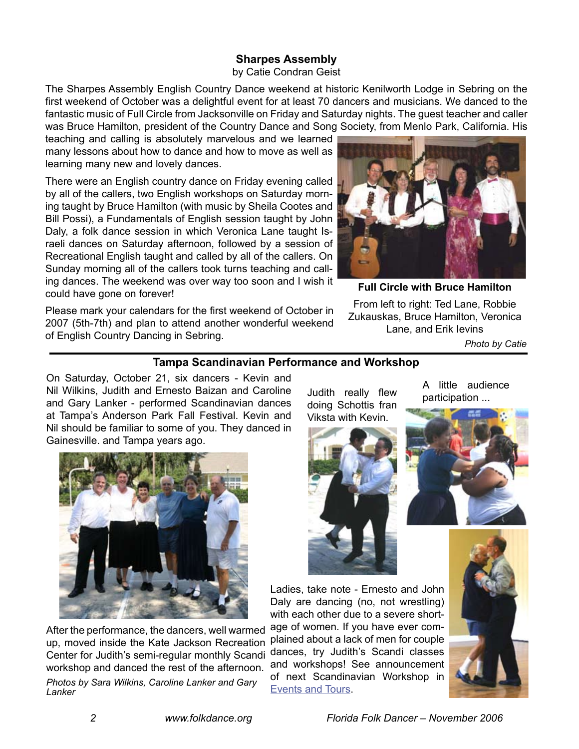# **Sharpes Assembly**

#### by Catie Condran Geist

The Sharpes Assembly English Country Dance weekend at historic Kenilworth Lodge in Sebring on the first weekend of October was a delightful event for at least 70 dancers and musicians. We danced to the fantastic music of Full Circle from Jacksonville on Friday and Saturday nights. The guest teacher and caller was Bruce Hamilton, president of the Country Dance and Song Society, from Menlo Park, California. His

teaching and calling is absolutely marvelous and we learned many lessons about how to dance and how to move as well as learning many new and lovely dances.

There were an English country dance on Friday evening called by all of the callers, two English workshops on Saturday morning taught by Bruce Hamilton (with music by Sheila Cootes and Bill Possi), a Fundamentals of English session taught by John Daly, a folk dance session in which Veronica Lane taught Israeli dances on Saturday afternoon, followed by a session of Recreational English taught and called by all of the callers. On Sunday morning all of the callers took turns teaching and calling dances. The weekend was over way too soon and I wish it could have gone on forever!

Please mark your calendars for the first weekend of October in 2007 (5th-7th) and plan to attend another wonderful weekend of English Country Dancing in Sebring.



**Full Circle with Bruce Hamilton**

From left to right: Ted Lane, Robbie Zukauskas, Bruce Hamilton, Veronica Lane, and Erik Ievins

 *Photo by Catie*

#### **Tampa Scandinavian Performance and Workshop**

On Saturday, October 21, six dancers - Kevin and Nil Wilkins, Judith and Ernesto Baizan and Caroline and Gary Lanker - performed Scandinavian dances at Tampa's Anderson Park Fall Festival. Kevin and Nil should be familiar to some of you. They danced in Gainesville. and Tampa years ago.



After the performance, the dancers, well warmed up, moved inside the Kate Jackson Recreation Center for Judith's semi-regular monthly Scandi workshop and danced the rest of the afternoon. *Photos by Sara Wilkins, Caroline Lanker and Gary Lanker*

Judith really flew doing Schottis fran Viksta with Kevin.



A little audience participation ...



Ladies, take note - Ernesto and John Daly are dancing (no, not wrestling) with each other due to a severe short-

age of women. If you have ever complained about a lack of men for couple dances, try Judith's Scandi classes and workshops! See announcement of next Scandinavian Workshop in [Events and Tours.](#page-8-0)

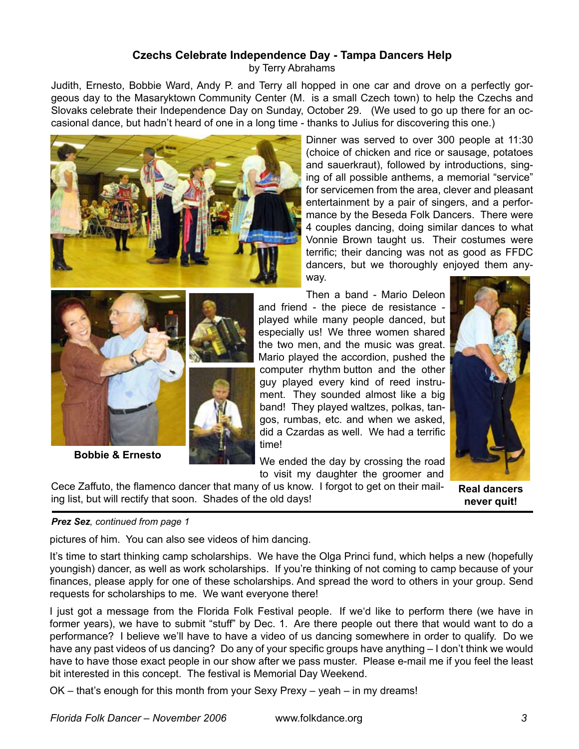#### **Czechs Celebrate Independence Day - Tampa Dancers Help** by Terry Abrahams

Judith, Ernesto, Bobbie Ward, Andy P. and Terry all hopped in one car and drove on a perfectly gorgeous day to the Masaryktown Community Center (M. is a small Czech town) to help the Czechs and Slovaks celebrate their Independence Day on Sunday, October 29. (We used to go up there for an occasional dance, but hadn't heard of one in a long time - thanks to Julius for discovering this one.)



Dinner was served to over 300 people at 11:30 (choice of chicken and rice or sausage, potatoes and sauerkraut), followed by introductions, singing of all possible anthems, a memorial "service" for servicemen from the area, clever and pleasant entertainment by a pair of singers, and a performance by the Beseda Folk Dancers. There were 4 couples dancing, doing similar dances to what Vonnie Brown taught us. Their costumes were terrific; their dancing was not as good as FFDC dancers, but we thoroughly enjoyed them anyway.



**Bobbie & Ernesto**

Then a band - Mario Deleon and friend - the piece de resistance played while many people danced, but especially us! We three women shared the two men, and the music was great. Mario played the accordion, pushed the computer rhythm button and the other guy played every kind of reed instrument. They sounded almost like a big band! They played waltzes, polkas, tangos, rumbas, etc. and when we asked, did a Czardas as well. We had a terrific time!

We ended the day by crossing the road to visit my daughter the groomer and





**Real dancers never quit!**

#### <span id="page-2-0"></span>*Prez Sez, continued from page*

pictures of him. You can also see videos of him dancing.

It's time to start thinking camp scholarships. We have the Olga Princi fund, which helps a new (hopefully youngish) dancer, as well as work scholarships. If you're thinking of not coming to camp because of your finances, please apply for one of these scholarships. And spread the word to others in your group. Send requests for scholarships to me. We want everyone there!

I just got a message from the Florida Folk Festival people. If we'd like to perform there (we have in former years), we have to submit "stuff" by Dec. 1. Are there people out there that would want to do a performance? I believe we'll have to have a video of us dancing somewhere in order to qualify. Do we have any past videos of us dancing? Do any of your specific groups have anything – I don't think we would have to have those exact people in our show after we pass muster. Please e-mail me if you feel the least bit interested in this concept. The festival is Memorial Day Weekend.

OK – that's enough for this month from your Sexy Prexy – yeah – in my dreams!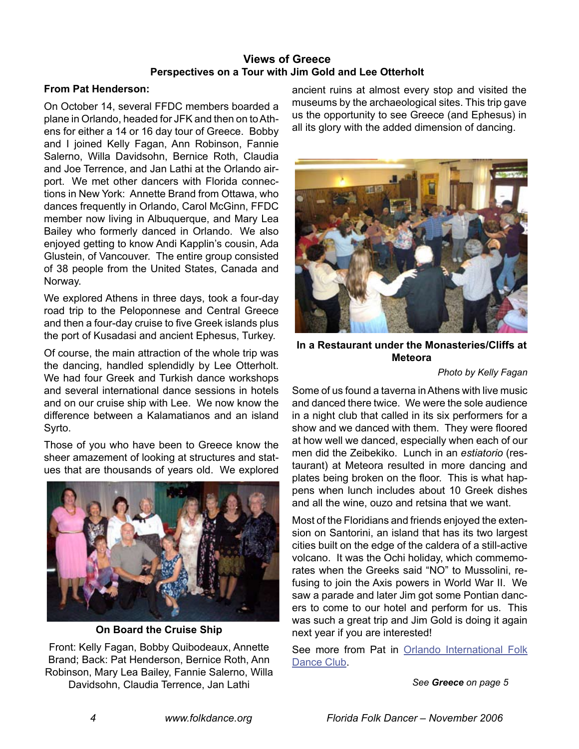# **Views of Greece Perspectives on a Tour with Jim Gold and Lee Otterholt**

#### **From Pat Henderson:**

On October 14, several FFDC members boarded a plane in Orlando, headed for JFK and then on to Athens for either a 14 or 16 day tour of Greece. Bobby and I joined Kelly Fagan, Ann Robinson, Fannie Salerno, Willa Davidsohn, Bernice Roth, Claudia and Joe Terrence, and Jan Lathi at the Orlando airport. We met other dancers with Florida connections in New York: Annette Brand from Ottawa, who dances frequently in Orlando, Carol McGinn, FFDC member now living in Albuquerque, and Mary Lea Bailey who formerly danced in Orlando. We also enjoyed getting to know Andi Kapplin's cousin, Ada Glustein, of Vancouver. The entire group consisted of 38 people from the United States, Canada and Norway.

We explored Athens in three days, took a four-day road trip to the Peloponnese and Central Greece and then a four-day cruise to five Greek islands plus the port of Kusadasi and ancient Ephesus, Turkey.

Of course, the main attraction of the whole trip was the dancing, handled splendidly by Lee Otterholt. We had four Greek and Turkish dance workshops and several international dance sessions in hotels and on our cruise ship with Lee. We now know the difference between a Kalamatianos and an island Syrto.

Those of you who have been to Greece know the sheer amazement of looking at structures and statues that are thousands of years old. We explored



**On Board the Cruise Ship**

Front: Kelly Fagan, Bobby Quibodeaux, Annette Brand; Back: Pat Henderson, Bernice Roth, Ann Robinson, Mary Lea Bailey, Fannie Salerno, Willa Davidsohn, Claudia Terrence, Jan Lathi

<span id="page-3-0"></span>ancient ruins at almost every stop and visited the museums by the archaeological sites. This trip gave us the opportunity to see Greece (and Ephesus) in all its glory with the added dimension of dancing.



**In a Restaurant under the Monasteries/Cliffs at Meteora**

#### *Photo by Kelly Fagan*

Some of us found a taverna in Athens with live music and danced there twice. We were the sole audience in a night club that called in its six performers for a show and we danced with them. They were floored at how well we danced, especially when each of our men did the Zeibekiko. Lunch in an *estiatorio* (restaurant) at Meteora resulted in more dancing and plates being broken on the floor. This is what happens when lunch includes about 10 Greek dishes and all the wine, ouzo and retsina that we want.

Most of the Floridians and friends enjoyed the extension on Santorini, an island that has its two largest cities built on the edge of the caldera of a still-active volcano. It was the Ochi holiday, which commemorates when the Greeks said "NO" to Mussolini, refusing to join the Axis powers in World War II. We saw a parade and later Jim got some Pontian dancers to come to our hotel and perform for us. This was such a great trip and Jim Gold is doing it again next year if you are interested!

See more from Pat in Orlando International Folk [Dance Club](#page-7-0).

*See Greece on page*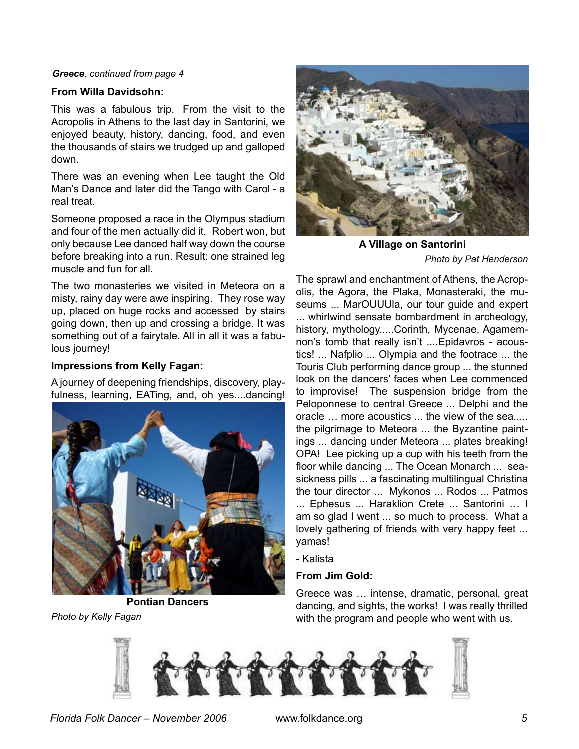#### *Greece, continued from page*

#### **From Willa Davidsohn:**

This was a fabulous trip. From the visit to the Acropolis in Athens to the last day in Santorini, we enjoyed beauty, history, dancing, food, and even the thousands of stairs we trudged up and galloped down.

There was an evening when Lee taught the Old Man's Dance and later did the Tango with Carol - a real treat.

Someone proposed a race in the Olympus stadium and four of the men actually did it. Robert won, but only because Lee danced half way down the course before breaking into a run. Result: one strained leg muscle and fun for all.

The two monasteries we visited in Meteora on a misty, rainy day were awe inspiring. They rose way up, placed on huge rocks and accessed by stairs going down, then up and crossing a bridge. It was something out of a fairytale. All in all it was a fabulous journey!

#### **Impressions from Kelly Fagan:**

A journey of deepening friendships, discovery, playfulness, learning, EATing, and, oh yes....dancing!



**Pontian Dancers** *Photo by Kelly Fagan*



**A Village on Santorini** *Photo by Pat Henderson*

The sprawl and enchantment of Athens, the Acropolis, the Agora, the Plaka, Monasteraki, the museums ... MarOUUUla, our tour guide and expert ... whirlwind sensate bombardment in archeology, history, mythology.....Corinth, Mycenae, Agamemnon's tomb that really isn't ....Epidavros - acoustics! ... Nafplio ... Olympia and the footrace ... the Touris Club performing dance group ... the stunned look on the dancers' faces when Lee commenced to improvise! The suspension bridge from the Peloponnese to central Greece ... Delphi and the oracle … more acoustics ... the view of the sea..... the pilgrimage to Meteora ... the Byzantine paintings ... dancing under Meteora ... plates breaking! OPA! Lee picking up a cup with his teeth from the floor while dancing ... The Ocean Monarch ... seasickness pills ... a fascinating multilingual Christina the tour director ... Mykonos ... Rodos ... Patmos ... Ephesus ... Haraklion Crete ... Santorini … I am so glad I went ... so much to process. What a lovely gathering of friends with very happy feet ... yamas!

- Kalista

#### **From Jim Gold:**

Greece was … intense, dramatic, personal, great dancing, and sights, the works! I was really thrilled with the program and people who went with us.

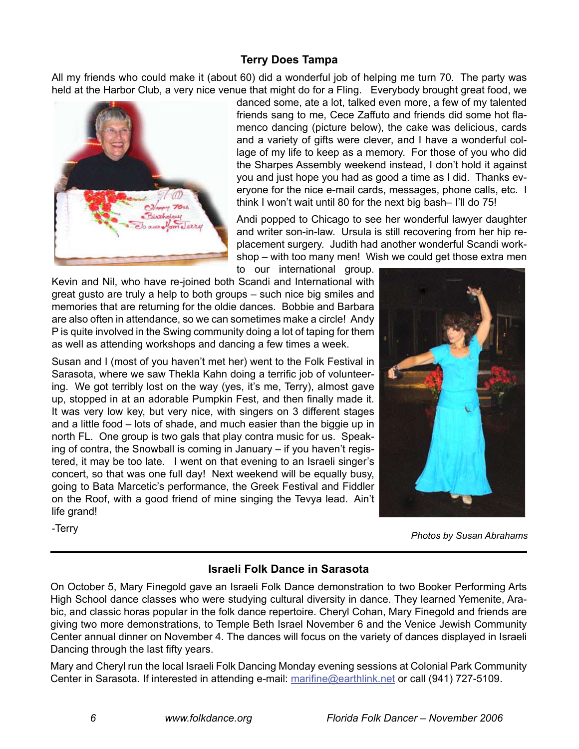# **Terry Does Tampa**

All my friends who could make it (about 60) did a wonderful job of helping me turn 70. The party was held at the Harbor Club, a very nice venue that might do for a Fling. Everybody brought great food, we



danced some, ate a lot, talked even more, a few of my talented friends sang to me, Cece Zaffuto and friends did some hot flamenco dancing (picture below), the cake was delicious, cards and a variety of gifts were clever, and I have a wonderful collage of my life to keep as a memory. For those of you who did the Sharpes Assembly weekend instead, I don't hold it against you and just hope you had as good a time as I did. Thanks everyone for the nice e-mail cards, messages, phone calls, etc. I think I won't wait until 80 for the next big bash– I'll do 75!

Andi popped to Chicago to see her wonderful lawyer daughter and writer son-in-law. Ursula is still recovering from her hip replacement surgery. Judith had another wonderful Scandi workshop – with too many men! Wish we could get those extra men

to our international group. Kevin and Nil, who have re-joined both Scandi and International with great gusto are truly a help to both groups – such nice big smiles and memories that are returning for the oldie dances. Bobbie and Barbara are also often in attendance, so we can sometimes make a circle! Andy P is quite involved in the Swing community doing a lot of taping for them

as well as attending workshops and dancing a few times a week.

Susan and I (most of you haven't met her) went to the Folk Festival in Sarasota, where we saw Thekla Kahn doing a terrific job of volunteering. We got terribly lost on the way (yes, it's me, Terry), almost gave up, stopped in at an adorable Pumpkin Fest, and then finally made it. It was very low key, but very nice, with singers on 3 different stages and a little food – lots of shade, and much easier than the biggie up in north FL. One group is two gals that play contra music for us. Speaking of contra, the Snowball is coming in January – if you haven't registered, it may be too late. I went on that evening to an Israeli singer's concert, so that was one full day! Next weekend will be equally busy, going to Bata Marcetic's performance, the Greek Festival and Fiddler on the Roof, with a good friend of mine singing the Tevya lead. Ain't life grand!



-Terry *Photos by Susan Abrahams*

# **Israeli Folk Dance in Sarasota**

On October 5, Mary Finegold gave an Israeli Folk Dance demonstration to two Booker Performing Arts High School dance classes who were studying cultural diversity in dance. They learned Yemenite, Arabic, and classic horas popular in the folk dance repertoire. Cheryl Cohan, Mary Finegold and friends are giving two more demonstrations, to Temple Beth Israel November 6 and the Venice Jewish Community Center annual dinner on November 4. The dances will focus on the variety of dances displayed in Israeli Dancing through the last fifty years.

Mary and Cheryl run the local Israeli Folk Dancing Monday evening sessions at Colonial Park Community Center in Sarasota. If interested in attending e-mail: [marifine@earthlink.net](mailto:marifine@earthlink.net) or call (941) 727-5109.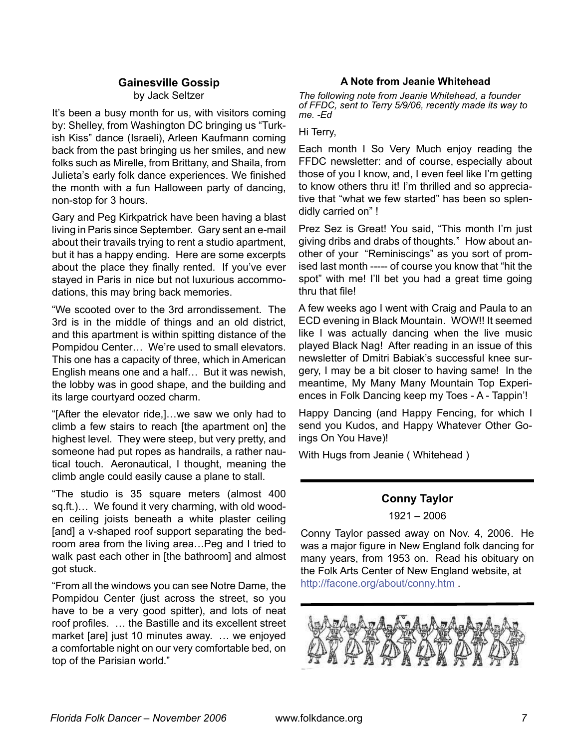#### **Gainesville Gossip**

by Jack Seltzer

It's been a busy month for us, with visitors coming by: Shelley, from Washington DC bringing us "Turkish Kiss" dance (Israeli), Arleen Kaufmann coming back from the past bringing us her smiles, and new folks such as Mirelle, from Brittany, and Shaila, from Julieta's early folk dance experiences. We finished the month with a fun Halloween party of dancing, non-stop for 3 hours.

Gary and Peg Kirkpatrick have been having a blast living in Paris since September. Gary sent an e-mail about their travails trying to rent a studio apartment, but it has a happy ending. Here are some excerpts about the place they finally rented. If you've ever stayed in Paris in nice but not luxurious accommodations, this may bring back memories.

"We scooted over to the 3rd arrondissement. The 3rd is in the middle of things and an old district, and this apartment is within spitting distance of the Pompidou Center… We're used to small elevators. This one has a capacity of three, which in American English means one and a half… But it was newish, the lobby was in good shape, and the building and its large courtyard oozed charm.

"[After the elevator ride,]…we saw we only had to climb a few stairs to reach [the apartment on] the highest level. They were steep, but very pretty, and someone had put ropes as handrails, a rather nautical touch. Aeronautical, I thought, meaning the climb angle could easily cause a plane to stall.

"The studio is 35 square meters (almost 400 sq.ft.)… We found it very charming, with old wooden ceiling joists beneath a white plaster ceiling [and] a v-shaped roof support separating the bedroom area from the living area…Peg and I tried to walk past each other in [the bathroom] and almost got stuck.

"From all the windows you can see Notre Dame, the Pompidou Center (just across the street, so you have to be a very good spitter), and lots of neat roof profiles. … the Bastille and its excellent street market [are] just 10 minutes away. … we enjoyed a comfortable night on our very comfortable bed, on top of the Parisian world."

#### **A Note from Jeanie Whitehead**

*The following note from Jeanie Whitehead, a founder of FFDC, sent to Terry 5/9/06, recently made its way to me. -Ed*

Hi Terry,

Each month I So Very Much enjoy reading the FFDC newsletter: and of course, especially about those of you I know, and, I even feel like I'm getting to know others thru it! I'm thrilled and so appreciative that "what we few started" has been so splendidly carried on" !

Prez Sez is Great! You said, "This month I'm just giving dribs and drabs of thoughts." How about another of your "Reminiscings" as you sort of promised last month ----- of course you know that "hit the spot" with me! I'll bet you had a great time going thru that file!

A few weeks ago I went with Craig and Paula to an ECD evening in Black Mountain. WOW!! It seemed like I was actually dancing when the live music played Black Nag! After reading in an issue of this newsletter of Dmitri Babiak's successful knee surgery, I may be a bit closer to having same! In the meantime, My Many Many Mountain Top Experiences in Folk Dancing keep my Toes - A - Tappin'!

Happy Dancing (and Happy Fencing, for which I send you Kudos, and Happy Whatever Other Goings On You Have)!

With Hugs from Jeanie ( Whitehead )

## **Conny Taylor**

1921 – 2006

Conny Taylor passed away on Nov. 4, 2006. He was a major figure in New England folk dancing for many years, from 1953 on. Read his obituary on the Folk Arts Center of New England website, at <http://facone.org/about/conny.htm> .

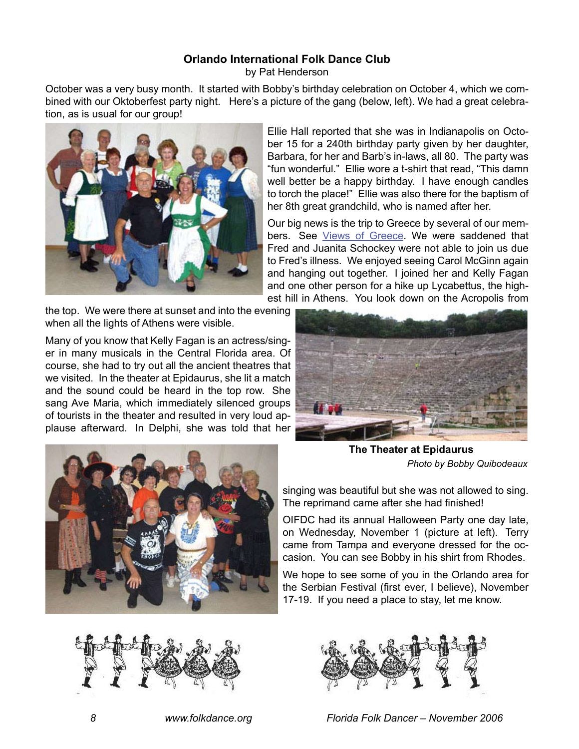# **Orlando International Folk Dance Club**

<span id="page-7-0"></span>by Pat Henderson

October was a very busy month. It started with Bobby's birthday celebration on October 4, which we combined with our Oktoberfest party night. Here's a picture of the gang (below, left). We had a great celebration, as is usual for our group!



Ellie Hall reported that she was in Indianapolis on October 15 for a 240th birthday party given by her daughter, Barbara, for her and Barb's in-laws, all 80. The party was "fun wonderful." Ellie wore a t-shirt that read, "This damn well better be a happy birthday. I have enough candles to torch the place!" Ellie was also there for the baptism of her 8th great grandchild, who is named after her.

Our big news is the trip to Greece by several of our members. See [Views of Greece](#page-3-0). We were saddened that Fred and Juanita Schockey were not able to join us due to Fred's illness. We enjoyed seeing Carol McGinn again and hanging out together. I joined her and Kelly Fagan and one other person for a hike up Lycabettus, the highest hill in Athens. You look down on the Acropolis from

the top. We were there at sunset and into the evening when all the lights of Athens were visible.

Many of you know that Kelly Fagan is an actress/singer in many musicals in the Central Florida area. Of course, she had to try out all the ancient theatres that we visited. In the theater at Epidaurus, she lit a match and the sound could be heard in the top row. She sang Ave Maria, which immediately silenced groups of tourists in the theater and resulted in very loud applause afterward. In Delphi, she was told that her



**The Theater at Epidaurus** *Photo by Bobby Quibodeaux*



OIFDC had its annual Halloween Party one day late, on Wednesday, November 1 (picture at left). Terry came from Tampa and everyone dressed for the occasion. You can see Bobby in his shirt from Rhodes.

We hope to see some of you in the Orlando area for the Serbian Festival (first ever, I believe), November 17-19. If you need a place to stay, let me know.





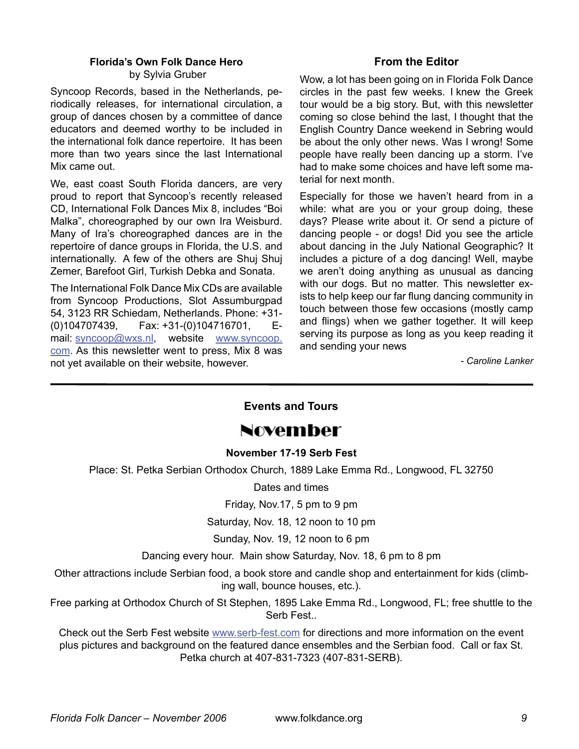# **Florida's Own Folk Dance Hero**

by Sylvia Gruber

Syncoop Records, based in the Netherlands, periodically releases, for international circulation, a group of dances chosen by a committee of dance educators and deemed worthy to be included in the international folk dance repertoire. It has been more than two years since the last International Mix came out.

We, east coast South Florida dancers, are very proud to report that Syncoop's recently released CD, International Folk Dances Mix 8, includes "Boi Malka", choreographed by our own Ira Weisburd. Many of Ira's choreographed dances are in the repertoire of dance groups in Florida, the U.S. and internationally. A few of the others are Shuj Shuj Zemer, Barefoot Girl, Turkish Debka and Sonata.

The International Folk Dance Mix CDs are available from Syncoop Productions, Slot Assumburgpad 54, 3123 RR Schiedam, Netherlands. Phone: +31- (0)104707439, Fax: +31-(0)104716701, Email: [syncoop@wxs.n](mailto:syncoop@wxs.nl)l, website [www.syncoop.](http://www.syncoop.com) [com](http://www.syncoop.com). As this newsletter went to press, Mix 8 was not yet available on their website, however.

## **From the Editor**

Wow, a lot has been going on in Florida Folk Dance circles in the past few weeks. I knew the Greek tour would be a big story. But, with this newsletter coming so close behind the last, I thought that the English Country Dance weekend in Sebring would be about the only other news. Was I wrong! Some people have really been dancing up a storm. I've had to make some choices and have left some material for next month.

Especially for those we haven't heard from in a while: what are you or your group doing, these days? Please write about it. Or send a picture of dancing people - or dogs! Did you see the article about dancing in the July National Geographic? It includes a picture of a dog dancing! Well, maybe we aren't doing anything as unusual as dancing with our dogs. But no matter. This newsletter exists to help keep our far flung dancing community in touch between those few occasions (mostly camp and flings) when we gather together. It will keep serving its purpose as long as you keep reading it and sending your news

<span id="page-8-0"></span>*- Caroline Lanker*

# **Events and Tours**

# November

#### **November 17-19 Serb Fest**

Place: St. Petka Serbian Orthodox Church, 1889 Lake Emma Rd., Longwood, FL 32750

Dates and times

Friday, Nov.17, 5 pm to 9 pm

Saturday, Nov. 18, 12 noon to 10 pm

Sunday, Nov. 19, 12 noon to 6 pm

Dancing every hour. Main show Saturday, Nov. 18, 6 pm to 8 pm

Other attractions include Serbian food, a book store and candle shop and entertainment for kids (climbing wall, bounce houses, etc.).

Free parking at Orthodox Church of St Stephen, 1895 Lake Emma Rd., Longwood, FL; free shuttle to the Serb Fest..

Check out the Serb Fest website [www.serb-fest.co](http://www.serb-fest.com)m for directions and more information on the event plus pictures and background on the featured dance ensembles and the Serbian food. Call or fax St. Petka church at 407-831-7323 (407-831-SERB).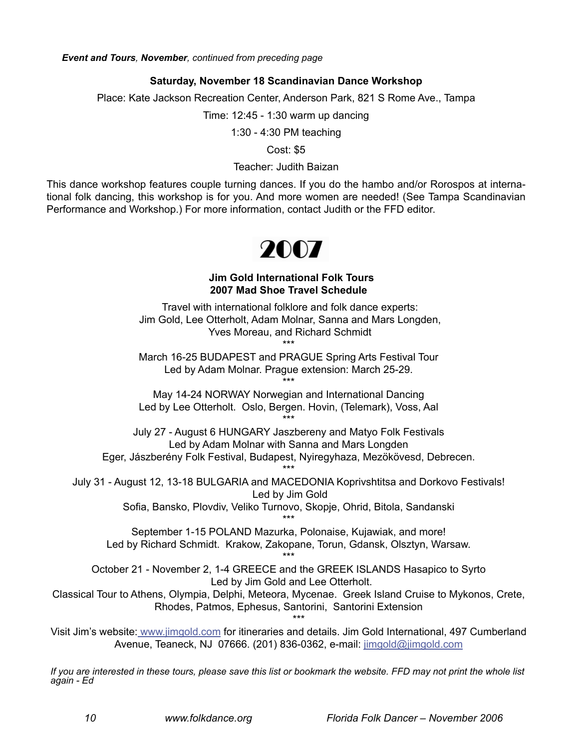*Event and Tours, November, continued from preceding page*

#### **Saturday, November 18 Scandinavian Dance Workshop**

Place: Kate Jackson Recreation Center, Anderson Park, 821 S Rome Ave., Tampa

Time: 12:45 - 1:30 warm up dancing

1:30 - 4:30 PM teaching

Cost: \$5

#### Teacher: Judith Baizan

This dance workshop features couple turning dances. If you do the hambo and/or Rorospos at international folk dancing, this workshop is for you. And more women are needed! (See Tampa Scandinavian Performance and Workshop.) For more information, contact Judith or the FFD editor.



#### **Jim Gold International Folk Tours 2007 Mad Shoe Travel Schedule**

Travel with international folklore and folk dance experts: Jim Gold, Lee Otterholt, Adam Molnar, Sanna and Mars Longden, Yves Moreau, and Richard Schmidt \*\*\*

March 16-25 BUDAPEST and PRAGUE Spring Arts Festival Tour Led by Adam Molnar. Prague extension: March 25-29.

\*\*\* May 14-24 NORWAY Norwegian and International Dancing Led by Lee Otterholt. Oslo, Bergen. Hovin, (Telemark), Voss, Aal \*\*\*

July 27 - August 6 HUNGARY Jaszbereny and Matyo Folk Festivals Led by Adam Molnar with Sanna and Mars Longden

Eger, Jászberény Folk Festival, Budapest, Nyiregyhaza, Mezökövesd, Debrecen. \*\*\*

July 31 - August 12, 13-18 BULGARIA and MACEDONIA Koprivshtitsa and Dorkovo Festivals! Led by Jim Gold

Sofia, Bansko, Plovdiv, Veliko Turnovo, Skopje, Ohrid, Bitola, Sandanski \*\*\*

September 1-15 POLAND Mazurka, Polonaise, Kujawiak, and more! Led by Richard Schmidt. Krakow, Zakopane, Torun, Gdansk, Olsztyn, Warsaw.

\*\*\* October 21 - November 2, 1-4 GREECE and the GREEK ISLANDS Hasapico to Syrto Led by Jim Gold and Lee Otterholt.

Classical Tour to Athens, Olympia, Delphi, Meteora, Mycenae. Greek Island Cruise to Mykonos, Crete, Rhodes, Patmos, Ephesus, Santorini, Santorini Extension

 \*\*\* Visit Jim's website: [www.jimgold.com](http://www.jimgold.com) for itineraries and details. Jim Gold International, 497 Cumberland Avenue, Teaneck, NJ 07666. (201) 836-0362, e-mail: [jimgold@jimgold.com](mailto://jimgold@jimgold.com)

*If you are interested in these tours, please save this list or bookmark the website. FFD may not print the whole list again - Ed*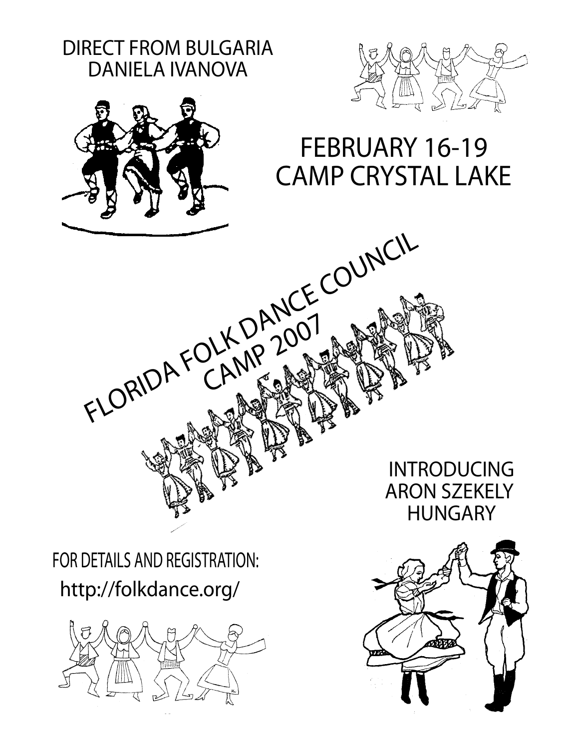





# FEBRUARY 16-19 CAMP CRYSTAL LAKE

INTRODUCING ARON SZEKELY HUNGARY

http://folkdance.org/ FOR DETAILS AND REGISTRATION:

CAMP 2007